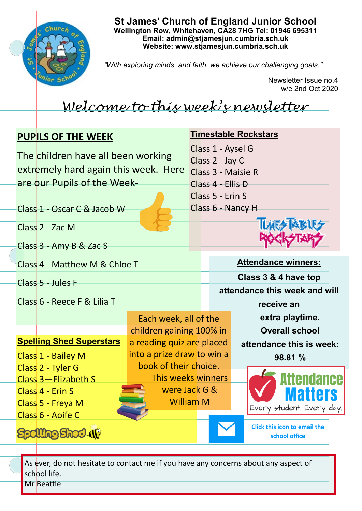

**St James' Church of England Junior School Wellington Row, Whitehaven, CA28 7HG Tel: 01946 695311 Email: admin@stjamesjun.cumbria.sch.uk Website: www.stjamesjun.cumbria.sch.uk**

*"With exploring minds, and faith, we achieve our challenging goals."*

Newsletter Issue no.4 w/e 2nd Oct 2020

## *Welcome to this week's newsletter*

| <b>PUPILS OF THE WEEK</b> |                                      |                            | <b>Timestable Rockstars</b> |                                                       |                            |                                                      |  |
|---------------------------|--------------------------------------|----------------------------|-----------------------------|-------------------------------------------------------|----------------------------|------------------------------------------------------|--|
|                           | The children have all been working   |                            |                             | Class 1 - Aysel G                                     |                            |                                                      |  |
|                           | extremely hard again this week. Here |                            |                             | Class 2 - Jay C<br>Class 3 - Maisie R                 |                            |                                                      |  |
|                           | are our Pupils of the Week-          |                            |                             | Class 4 - Ellis D                                     |                            |                                                      |  |
|                           |                                      |                            |                             | Class 5 - Erin S                                      |                            |                                                      |  |
|                           | Class 1 - Oscar C & Jacob W          |                            |                             | Class 6 - Nancy H                                     |                            |                                                      |  |
|                           | Class 2 - Zac M                      |                            |                             |                                                       |                            |                                                      |  |
|                           | Class 3 - Amy B & Zac S              |                            |                             |                                                       |                            |                                                      |  |
|                           | Class 4 - Matthew M & Chloe T        |                            |                             |                                                       | <b>Attendance winners:</b> |                                                      |  |
|                           |                                      |                            |                             | Class 3 & 4 have top<br>attendance this week and will |                            |                                                      |  |
|                           | Class 5 - Jules F                    |                            |                             |                                                       |                            |                                                      |  |
|                           | Class 6 - Reece F & Lilia T          |                            |                             | receive an                                            |                            |                                                      |  |
|                           |                                      | Each week, all of the      |                             |                                                       |                            | extra playtime.                                      |  |
|                           |                                      |                            | children gaining 100% in    |                                                       |                            | <b>Overall school</b>                                |  |
|                           | <b>Spelling Shed Superstars</b>      | a reading quiz are placed  |                             |                                                       |                            | attendance this is week:                             |  |
|                           | Class 1 - Bailey M                   | into a prize draw to win a |                             |                                                       |                            | 98.81 %                                              |  |
|                           | Class 2 - Tyler G                    | book of their choice.      |                             |                                                       |                            |                                                      |  |
|                           | Class 3-Elizabeth S                  | This weeks winners         |                             |                                                       |                            | ttendance                                            |  |
|                           | Class 4 - Erin S                     | were Jack G &              |                             |                                                       |                            | Maiiers                                              |  |
|                           | Class 5 - Freya M                    | <b>William M</b>           |                             |                                                       |                            | Every student. Every day.                            |  |
|                           | Class 6 - Aoife C                    |                            |                             |                                                       |                            |                                                      |  |
|                           |                                      |                            |                             |                                                       |                            | <b>Click this icon to email the</b><br>school office |  |

As ever, do not hesitate to contact me if you have any concerns about any aspect of school life. Mr Beattie